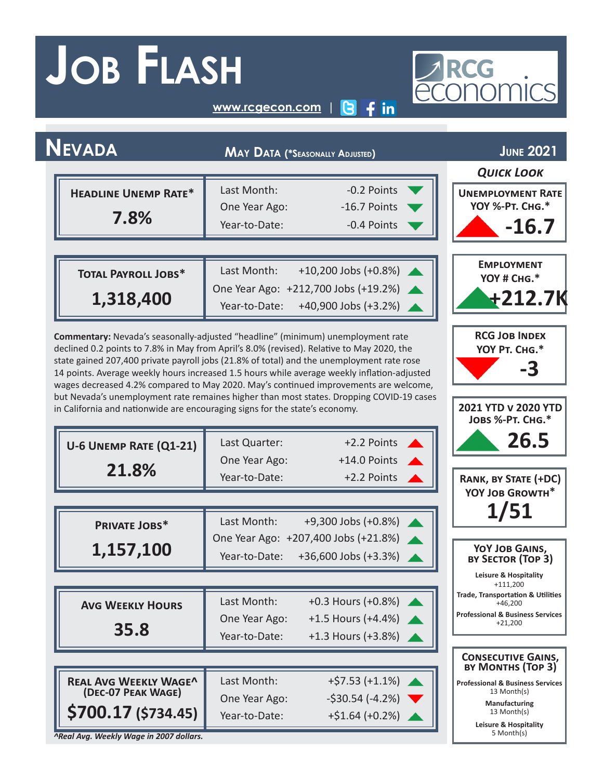## **Job Flash**

# PREG

**<www.rcgecon.com> | [3](https://twitter.com/rcgeconomics) [2](https://www.facebook.com/RCG.Economics/) [1](https://www.linkedin.com/in/rcg1llc/)**

| <b>NEVADA</b>                                                                                                                                                                                                                                                                                                                                                                                                                                                                                                                                                                                                                                                                                                     | <b>MAY DATA (*SEASONALLY ADJUSTED)</b> |                                                              |                                                           |  |  |
|-------------------------------------------------------------------------------------------------------------------------------------------------------------------------------------------------------------------------------------------------------------------------------------------------------------------------------------------------------------------------------------------------------------------------------------------------------------------------------------------------------------------------------------------------------------------------------------------------------------------------------------------------------------------------------------------------------------------|----------------------------------------|--------------------------------------------------------------|-----------------------------------------------------------|--|--|
|                                                                                                                                                                                                                                                                                                                                                                                                                                                                                                                                                                                                                                                                                                                   |                                        |                                                              | <b>QUICK LOOK</b>                                         |  |  |
| <b>HEADLINE UNEMP RATE*</b>                                                                                                                                                                                                                                                                                                                                                                                                                                                                                                                                                                                                                                                                                       | Last Month:                            | -0.2 Points                                                  | <b>UNEMPLOYMENT RATE</b>                                  |  |  |
| 7.8%                                                                                                                                                                                                                                                                                                                                                                                                                                                                                                                                                                                                                                                                                                              | One Year Ago:                          | -16.7 Points                                                 | <b>YOY %-РТ. Сна.*</b>                                    |  |  |
|                                                                                                                                                                                                                                                                                                                                                                                                                                                                                                                                                                                                                                                                                                                   | Year-to-Date:                          | -0.4 Points                                                  | -16.7                                                     |  |  |
|                                                                                                                                                                                                                                                                                                                                                                                                                                                                                                                                                                                                                                                                                                                   |                                        |                                                              | <b>EMPLOYMENT</b>                                         |  |  |
| <b>TOTAL PAYROLL JOBS*</b>                                                                                                                                                                                                                                                                                                                                                                                                                                                                                                                                                                                                                                                                                        | Last Month:                            | +10,200 Jobs (+0.8%)                                         | YOY # CHG.*                                               |  |  |
| 1,318,400                                                                                                                                                                                                                                                                                                                                                                                                                                                                                                                                                                                                                                                                                                         |                                        | One Year Ago: +212,700 Jobs (+19.2%)                         | +212.7K                                                   |  |  |
|                                                                                                                                                                                                                                                                                                                                                                                                                                                                                                                                                                                                                                                                                                                   | Year-to-Date:                          | +40,900 Jobs (+3.2%)                                         |                                                           |  |  |
| <b>RCG JOB INDEX</b><br>Commentary: Nevada's seasonally-adjusted "headline" (minimum) unemployment rate<br>declined 0.2 points to 7.8% in May from April's 8.0% (revised). Relative to May 2020, the<br>YOY PT. CHG.*<br>state gained 207,400 private payroll jobs (21.8% of total) and the unemployment rate rose<br>-3<br>14 points. Average weekly hours increased 1.5 hours while average weekly inflation-adjusted<br>wages decreased 4.2% compared to May 2020. May's continued improvements are welcome,<br>but Nevada's unemployment rate remaines higher than most states. Dropping COVID-19 cases<br>2021 YTD v 2020 YTD<br>in California and nationwide are encouraging signs for the state's economy. |                                        |                                                              |                                                           |  |  |
|                                                                                                                                                                                                                                                                                                                                                                                                                                                                                                                                                                                                                                                                                                                   |                                        |                                                              | JOBS %-PT. CHG.*                                          |  |  |
| U-6 UNEMP RATE (Q1-21)                                                                                                                                                                                                                                                                                                                                                                                                                                                                                                                                                                                                                                                                                            | Last Quarter:                          | +2.2 Points                                                  | 26.5                                                      |  |  |
| 21.8%                                                                                                                                                                                                                                                                                                                                                                                                                                                                                                                                                                                                                                                                                                             | One Year Ago:                          | +14.0 Points                                                 |                                                           |  |  |
|                                                                                                                                                                                                                                                                                                                                                                                                                                                                                                                                                                                                                                                                                                                   | Year-to-Date:                          | +2.2 Points                                                  | <b>RANK, BY STATE (+DC)</b><br>YOY JOB GROWTH*            |  |  |
|                                                                                                                                                                                                                                                                                                                                                                                                                                                                                                                                                                                                                                                                                                                   |                                        |                                                              | 1/51                                                      |  |  |
| PRIVATE JOBS*                                                                                                                                                                                                                                                                                                                                                                                                                                                                                                                                                                                                                                                                                                     | Last Month:                            | +9,300 Jobs (+0.8%)                                          |                                                           |  |  |
| 1,157,100                                                                                                                                                                                                                                                                                                                                                                                                                                                                                                                                                                                                                                                                                                         | Year-to-Date:                          | One Year Ago: +207,400 Jobs (+21.8%)<br>+36,600 Jobs (+3.3%) | YOY JOB GAINS,<br>BY SECTOR (TOP 3)                       |  |  |
|                                                                                                                                                                                                                                                                                                                                                                                                                                                                                                                                                                                                                                                                                                                   |                                        |                                                              | Leisure & Hospitality<br>$+111,200$                       |  |  |
| <b>AVG WEEKLY HOURS</b>                                                                                                                                                                                                                                                                                                                                                                                                                                                                                                                                                                                                                                                                                           | Last Month:                            | +0.3 Hours (+0.8%)                                           | <b>Trade, Transportation &amp; Utilities</b><br>$+46,200$ |  |  |
|                                                                                                                                                                                                                                                                                                                                                                                                                                                                                                                                                                                                                                                                                                                   | One Year Ago:                          | $+1.5$ Hours (+4.4%)                                         | <b>Professional &amp; Business Services</b><br>$+21,200$  |  |  |
| 35.8                                                                                                                                                                                                                                                                                                                                                                                                                                                                                                                                                                                                                                                                                                              | Year-to-Date:                          | +1.3 Hours (+3.8%)                                           |                                                           |  |  |
|                                                                                                                                                                                                                                                                                                                                                                                                                                                                                                                                                                                                                                                                                                                   |                                        |                                                              | <b>CONSECUTIVE GAINS,</b><br>BY MONTHS (TOP 3)            |  |  |
| <b>REAL AVG WEEKLY WAGE^</b>                                                                                                                                                                                                                                                                                                                                                                                                                                                                                                                                                                                                                                                                                      | Last Month:                            | $+$ \$7.53 (+1.1%)                                           | <b>Professional &amp; Business Services</b>               |  |  |
| (DEC-07 PEAK WAGE)                                                                                                                                                                                                                                                                                                                                                                                                                                                                                                                                                                                                                                                                                                | One Year Ago:                          | $-530.54(-4.2%)$                                             | 13 Month(s)<br>Manufacturing                              |  |  |
| \$700.17 (\$734.45)                                                                                                                                                                                                                                                                                                                                                                                                                                                                                                                                                                                                                                                                                               | Year-to-Date:                          | $+ $1.64 (+0.2%)$                                            | 13 Month(s)<br>Leisure & Hospitality<br>5 Month(s)        |  |  |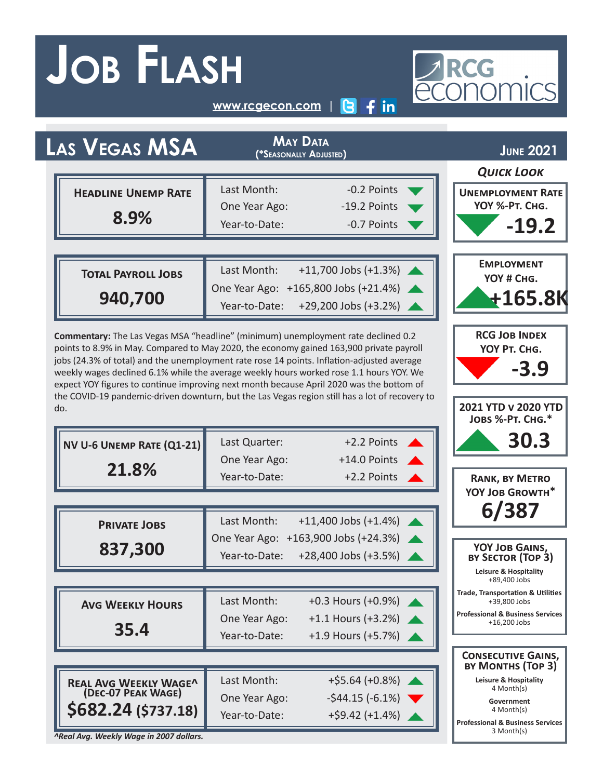## **Job Flash**

# PRCG<br>ECONOMICS

**[www.rcgecon.com](http://www.rcgecon.com) | [3](https://twitter.com/rcgeconomics) [2](https://www.facebook.com/RCG.Economics/) [1](https://www.linkedin.com/in/rcg1llc/)**

| LAS VEGAS MSA                                                                                                                                                                         | <b>MAY DATA</b><br>(*Seasonally Adjusted) |                                      |                                                               |  |
|---------------------------------------------------------------------------------------------------------------------------------------------------------------------------------------|-------------------------------------------|--------------------------------------|---------------------------------------------------------------|--|
|                                                                                                                                                                                       |                                           |                                      | <b>QUICK LOOK</b>                                             |  |
| <b>HEADLINE UNEMP RATE</b>                                                                                                                                                            | Last Month:                               | -0.2 Points                          | <b>UNEMPLOYMENT RATE</b>                                      |  |
| 8.9%                                                                                                                                                                                  | One Year Ago:                             | -19.2 Points                         | YOY %-PT. CHG.                                                |  |
|                                                                                                                                                                                       | Year-to-Date:                             | -0.7 Points                          | $-19.2$                                                       |  |
|                                                                                                                                                                                       |                                           |                                      |                                                               |  |
| <b>TOTAL PAYROLL JOBS</b>                                                                                                                                                             | Last Month:                               | $+11,700$ Jobs $(+1.3%)$             | <b>EMPLOYMENT</b><br>YOY # CHG.                               |  |
| 940,700                                                                                                                                                                               |                                           | One Year Ago: +165,800 Jobs (+21.4%) | $+165.8K$                                                     |  |
|                                                                                                                                                                                       | Year-to-Date:                             | +29,200 Jobs (+3.2%)                 |                                                               |  |
| Commentary: The Las Vegas MSA "headline" (minimum) unemployment rate declined 0.2                                                                                                     | <b>RCG JOB INDEX</b>                      |                                      |                                                               |  |
| points to 8.9% in May. Compared to May 2020, the economy gained 163,900 private payroll<br>jobs (24.3% of total) and the unemployment rate rose 14 points. Inflation-adjusted average | YOY PT. CHG.                              |                                      |                                                               |  |
| weekly wages declined 6.1% while the average weekly hours worked rose 1.1 hours YOY. We<br>expect YOY figures to continue improving next month because April 2020 was the bottom of   | -3.9                                      |                                      |                                                               |  |
| the COVID-19 pandemic-driven downturn, but the Las Vegas region still has a lot of recovery to                                                                                        |                                           |                                      |                                                               |  |
| do.                                                                                                                                                                                   |                                           |                                      | 2021 YTD v 2020 YTD<br>JOBS %-PT. CHG.*                       |  |
| NV U-6 UNEMP RATE (Q1-21)                                                                                                                                                             | Last Quarter:                             | +2.2 Points                          | 30.3                                                          |  |
|                                                                                                                                                                                       | One Year Ago:                             | +14.0 Points                         |                                                               |  |
| 21.8%                                                                                                                                                                                 | Year-to-Date:                             | +2.2 Points                          | <b>RANK, BY METRO</b>                                         |  |
|                                                                                                                                                                                       |                                           |                                      | YOY JOB GROWTH*                                               |  |
| <b>PRIVATE JOBS</b>                                                                                                                                                                   | Last Month:                               | $+11,400$ Jobs $(+1.4%)$             | 6/387                                                         |  |
|                                                                                                                                                                                       | One Year Ago:                             | +163,900 Jobs (+24.3%)               |                                                               |  |
| 837,300                                                                                                                                                                               | Year-to-Date:                             | +28,400 Jobs (+3.5%)                 | YOY JOB GAINS,<br>BY SECTOR (TOP 3)                           |  |
|                                                                                                                                                                                       |                                           |                                      | Leisure & Hospitality<br>+89,400 Jobs                         |  |
| <b>AVG WEEKLY HOURS</b>                                                                                                                                                               | Last Month:                               | +0.3 Hours (+0.9%)                   | <b>Trade, Transportation &amp; Utilities</b><br>+39,800 Jobs  |  |
|                                                                                                                                                                                       | One Year Ago:                             | +1.1 Hours (+3.2%)                   | <b>Professional &amp; Business Services</b><br>$+16,200$ Jobs |  |
| 35.4                                                                                                                                                                                  | Year-to-Date:                             | +1.9 Hours (+5.7%)                   |                                                               |  |
|                                                                                                                                                                                       |                                           |                                      | <b>CONSECUTIVE GAINS,</b><br>BY MONTHS (TOP 3)                |  |
| <b>REAL AVG WEEKLY WAGE^</b>                                                                                                                                                          | Last Month:                               | $+$ \$5.64 (+0.8%)                   | <b>Leisure &amp; Hospitality</b><br>4 Month(s)                |  |
| (DEC-07 PEAK WAGE)                                                                                                                                                                    | One Year Ago:                             | $-$ \$44.15 ( $-6.1\%$ )             | Government<br>4 Month(s)                                      |  |
| \$682.24 (\$737.18)                                                                                                                                                                   | Year-to-Date:                             | $+$ \$9.42 (+1.4%)                   | <b>Professional &amp; Business Services</b><br>3 Month(s)     |  |

*^Real Avg. Weekly Wage in 2007 dollars.*